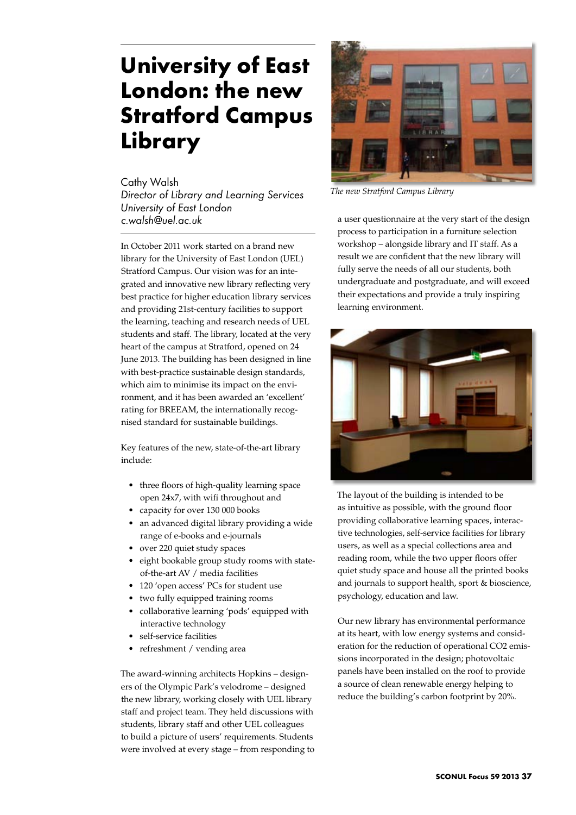## **University of East London: the new Stratford Campus Library**

Cathy Walsh

*Director of Library and Learning Services University of East London c.walsh@uel.ac.uk*

In October 2011 work started on a brand new library for the University of East London (UEL) Stratford Campus. Our vision was for an integrated and innovative new library reflecting very best practice for higher education library services and providing 21st-century facilities to support the learning, teaching and research needs of UEL students and staff. The library, located at the very heart of the campus at Stratford, opened on 24 June 2013. The building has been designed in line with best-practice sustainable design standards, which aim to minimise its impact on the environment, and it has been awarded an 'excellent' rating for BREEAM, the internationally recognised standard for sustainable buildings.

Key features of the new, state-of-the-art library include:

- • three floors of high-quality learning space open 24x7, with wifi throughout and
- capacity for over 130 000 books
- an advanced digital library providing a wide range of e-books and e-journals
- over 220 quiet study spaces
- • eight bookable group study rooms with stateof-the-art AV / media facilities
- 120 'open access' PCs for student use
- • two fully equipped training rooms
- collaborative learning 'pods' equipped with interactive technology
- self-service facilities
- refreshment / vending area

The award-winning architects Hopkins – designers of the Olympic Park's velodrome – designed the new library, working closely with UEL library staff and project team. They held discussions with students, library staff and other UEL colleagues to build a picture of users' requirements. Students were involved at every stage – from responding to



*The new Stratford Campus Library*

a user questionnaire at the very start of the design process to participation in a furniture selection workshop – alongside library and IT staff. As a result we are confident that the new library will fully serve the needs of all our students, both undergraduate and postgraduate, and will exceed their expectations and provide a truly inspiring learning environment.



The layout of the building is intended to be as intuitive as possible, with the ground floor providing collaborative learning spaces, interactive technologies, self-service facilities for library users, as well as a special collections area and reading room, while the two upper floors offer quiet study space and house all the printed books and journals to support health, sport & bioscience, psychology, education and law.

Our new library has environmental performance at its heart, with low energy systems and consideration for the reduction of operational CO2 emissions incorporated in the design; photovoltaic panels have been installed on the roof to provide a source of clean renewable energy helping to reduce the building's carbon footprint by 20%.